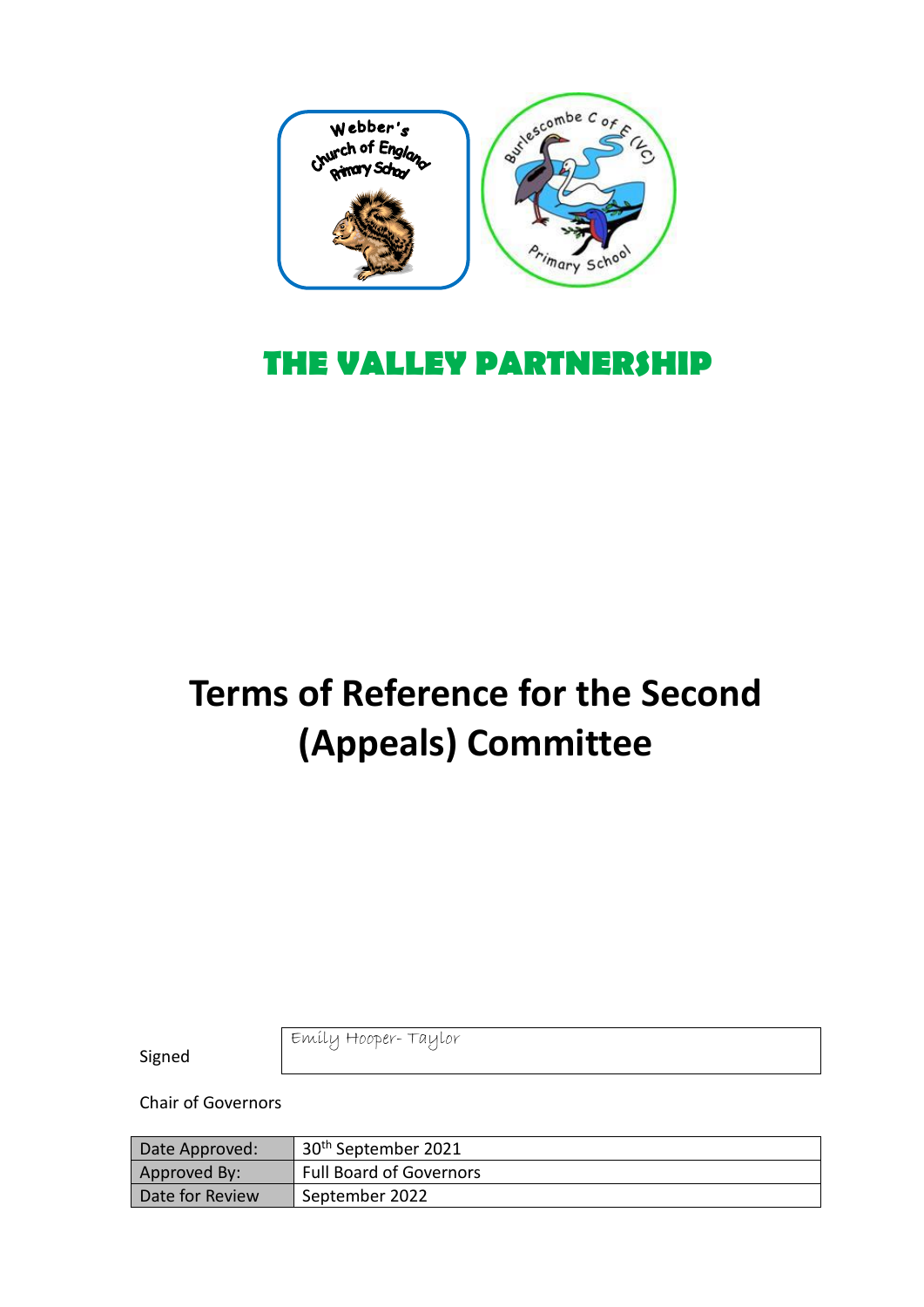

## **THE VALLEY PARTNERSHIP**

# **Terms of Reference for the Second (Appeals) Committee**

Signed

Emily Hooper- Taylor

Chair of Governors

| Date Approved:  | 30 <sup>th</sup> September 2021 |
|-----------------|---------------------------------|
| Approved By:    | <b>Full Board of Governors</b>  |
| Date for Review | September 2022                  |